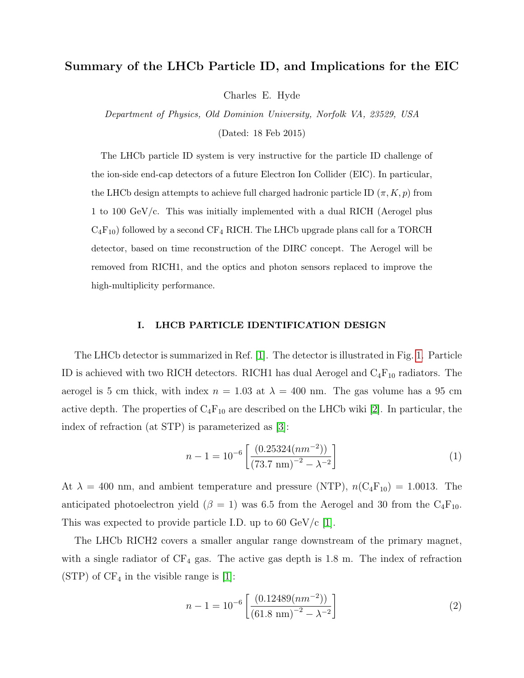# Summary of the LHCb Particle ID, and Implications for the EIC

Charles E. Hyde

Department of Physics, Old Dominion University, Norfolk VA, 23529, USA (Dated: 18 Feb 2015)

The LHCb particle ID system is very instructive for the particle ID challenge of the ion-side end-cap detectors of a future Electron Ion Collider (EIC). In particular, the LHCb design attempts to achieve full charged hadronic particle ID  $(\pi, K, p)$  from 1 to 100 GeV/c. This was initially implemented with a dual RICH (Aerogel plus  $C_4F_{10}$ ) followed by a second CF<sub>4</sub> RICH. The LHCb upgrade plans call for a TORCH detector, based on time reconstruction of the DIRC concept. The Aerogel will be removed from RICH1, and the optics and photon sensors replaced to improve the high-multiplicity performance.

## I. LHCB PARTICLE IDENTIFICATION DESIGN

The LHCb detector is summarized in Ref. [\[1\]](#page-5-0). The detector is illustrated in Fig. [1.](#page-1-0) Particle ID is achieved with two RICH detectors. RICH1 has dual Aerogel and  $C_4F_{10}$  radiators. The aerogel is 5 cm thick, with index  $n = 1.03$  at  $\lambda = 400$  nm. The gas volume has a 95 cm active depth. The properties of  $C_4F_{10}$  are described on the LHCb wiki [\[2\]](#page-5-1). In particular, the index of refraction (at STP) is parameterized as [\[3\]](#page-5-2):

$$
n - 1 = 10^{-6} \left[ \frac{(0.25324(nm^{-2}))}{(73.7 \text{ nm})^{-2} - \lambda^{-2}} \right]
$$
 (1)

At  $\lambda = 400$  nm, and ambient temperature and pressure (NTP),  $n(C_4F_{10}) = 1.0013$ . The anticipated photoelectron yield ( $\beta = 1$ ) was 6.5 from the Aerogel and 30 from the C<sub>4</sub>F<sub>10</sub>. This was expected to provide particle I.D. up to 60  $GeV/c$  [\[1\]](#page-5-0).

The LHCb RICH2 covers a smaller angular range downstream of the primary magnet, with a single radiator of  $CF_4$  gas. The active gas depth is 1.8 m. The index of refraction  $(STP)$  of  $CF<sub>4</sub>$  in the visible range is [\[1\]](#page-5-0):

$$
n - 1 = 10^{-6} \left[ \frac{(0.12489(nm^{-2}))}{(61.8 \text{ nm})^{-2} - \lambda^{-2}} \right]
$$
 (2)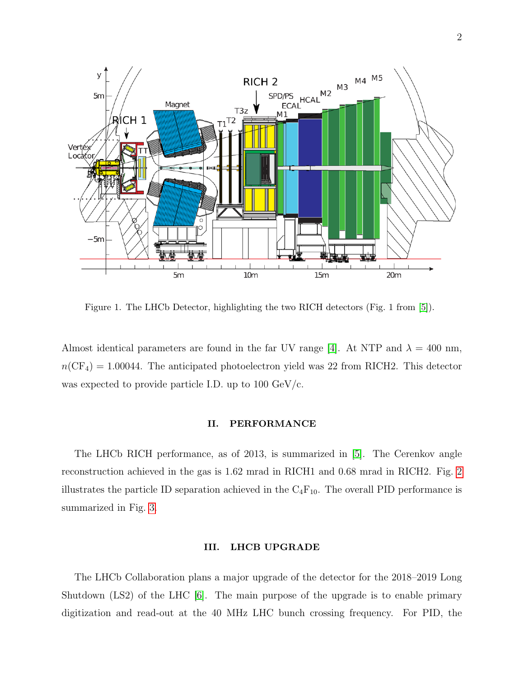

<span id="page-1-0"></span>Figure 1. The LHCb Detector, highlighting the two RICH detectors (Fig. 1 from [\[5\]](#page-5-3)).

Almost identical parameters are found in the far UV range [\[4\]](#page-5-4). At NTP and  $\lambda = 400$  nm,  $T_{\text{eff}}$  (CF) = 1.00044. The extincted aboted  $n(\text{or } 4)$  – 1,000 H. The and approach photoen was expected to provide particle I.D. up to 100  $\text{GeV/c}$ . on viold wee 22 from  $\overline{DICH}$ ? This detector  $n(\text{CF}_4) = 1.00044$ . The anticipated photoelectron yield was 22 from RICH2. This detector

### the RICH reconstruction, particle identification and detector performance, followed in Sect. 5 by the conclusions. II. PERFORMANCE

The LHCb RICH performation reconstruction achieved in the gas is 1.62 mrad in RICH1 and 0.68 mrad in RICH2. Fig. [2](#page-2-0) *illustrates the n*  $\mathbf{r}$  and  $\mathbf{r}$  requirements for charged hadron independent in  $\mathbf{r}$ summarized in Fig. [3.](#page-3-0) of the production state of the heavy-flavoured particles  $\mathcal{L}$ The LHCb RICH performance, as of 2013, is summarized in [\[5\]](#page-5-3). The Cerenkov angle flavoured particles are predominantly produced in pairs. One illustrates the particle ID separation achieved in the  $C_4F_{10}$ . The overall PID performance is

#### multipody final states. At  $\overline{\text{h}}$  $\mathbf{H}^{\mathbf{C}}$  and a mean of momentum distribution, with a mean of  $\mathbf{H}^{\mathbf{C}}$ about 10 GeV/*c*. Particle identification down to a few GeV/*c* III. LHCB UPGRADE

The LHCb Collaboration plans a major upgrade of the detector for the 2018–2019 Long  $\text{Shutdown}$  (LS2) of the LHC  $[6]$  The main be able to select the charged hadrons of interest in order to digitization and read-out at the 40 MHz LHC bunch crossing frequency. For PID, the  $\frac{1}{\sqrt{1-\frac{1}{\sqrt{1-\frac{1}{\sqrt{1-\frac{1}{\sqrt{1-\frac{1}{\sqrt{1-\frac{1}{\sqrt{1-\frac{1}{\sqrt{1-\frac{1}{\sqrt{1-\frac{1}{\sqrt{1-\frac{1}{\sqrt{1-\frac{1}{\sqrt{1-\frac{1}{\sqrt{1-\frac{1}{\sqrt{1-\frac{1}{\sqrt{1-\frac{1}{\sqrt{1-\frac{1}{\sqrt{1-\frac{1}{\sqrt{1-\frac{1}{\sqrt{1-\frac{1}{\sqrt{1-\frac{1}{\sqrt{1-\frac{1}{\sqrt{1-\frac{1}{\sqrt{1-\frac{1}{\sqrt{1-\frac{1}{\sqrt{1-\frac{1$ Shutdown (LS2) of the LHC [\[6\]](#page-5-5). The main purpose of the upgrade is to enable primary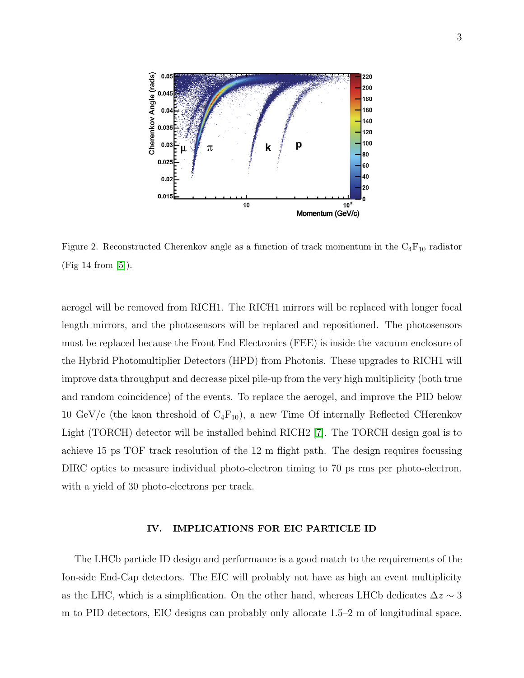

<span id="page-2-0"></span>Figure 2. Reconstructed Cherenkov angle as a function of track momentum in the  $C_4F_{10}$  radiator both p*/π* and p*/*K separation are equally vital for a large (Fig 14 from [\[5\]](#page-5-3)).

aerogel will be removed from RICH1. The RICH1 mirrors will be replaced with longer focal length mirrors, and the photosensors will be replaced and repositioned. The photosensors must be replaced because the Front End Electronics (FEE) is inside the vacuum enclosure of the Hybrid Photomultiplier Detectors (HPD) from Photonis. These upgrades to RICH1 will improve data throughput and decrease pixel pile-up from the very high multiplicity (both true and random coincidence) of the events. To replace the aerogel, and improve the PID below 10 GeV/c (the kaon threshold of  $C_4F_{10}$ ), a new Time Of internally Reflected CHerenkov Light (TORCH) detector will be installed behind RICH2 [\[7\]](#page-5-6). The TORCH design goal is to achieve 15 ps TOF track resolution of the 12 m flight path. The design requires focussing DIRC optics to measure individual photo-electron timing to 70 ps rms per photo-electron, with a yield of 30 photo-electrons per track.

### IV. IMPLICATIONS FOR EIC PARTICLE ID

The LHCb particle ID design and performance is a good match to the requirements of the Ion-side End-Cap detectors. The EIC will probably not have as high an event multiplicity as the LHC, which is a simplification. On the other hand, whereas LHCb dedicates  $\Delta z \sim 3$ m to PID detectors, EIC designs can probably only allocate 1.5–2 m of longitudinal space.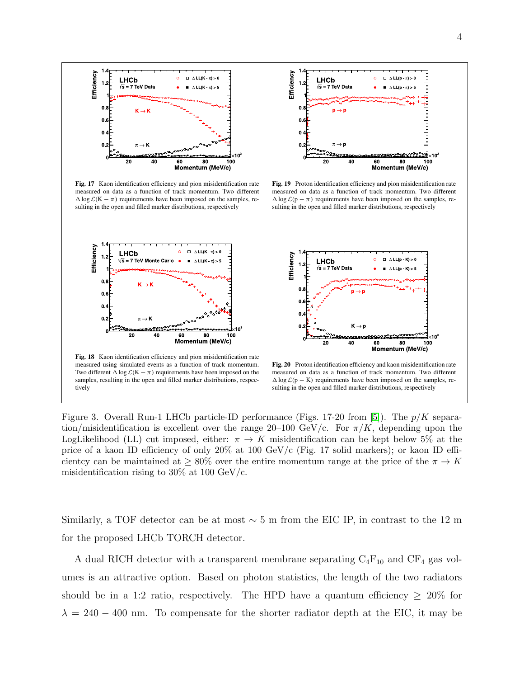

**Fig. 17** Kaon identification efficiency and pion misidentification rate measured on data as a function of track momentum. Two different  $\Delta \log \mathcal{L}(K - \pi)$  requirements have been imposed on the samples, resulting in the open and filled marker distributions, respectively



**Fig. 19** Proton identification efficiency and pion misidentification rate measured on data as a function of track momentum. Two different  $\Delta \log \mathcal{L}(p - \pi)$  requirements have been imposed on the samples, resulting in the open and filled marker distributions, respectively





measured using simulated events as a function of track momentum. Two different  $\Delta \log \mathcal{L}(K - \pi)$  requirements have been imposed on the samples, resulting in the open and filled marker distributions, respectively

**Fig. 20** Proton identification efficiency and kaon misidentification rate measured on data as a function of track momentum. Two different  $\Delta \log \mathcal{L}(p - K)$  requirements have been imposed on the samples, resulting in the open and filled marker distributions, respectively

<span id="page-3-0"></span>Figure 3. Overall Run-1 LHCb particle-ID performance (Figs. 17-20 from [\[5\]](#page-5-3)). The  $p/K$  separation/misidentification is excellent over the range 20–100 GeV/c. For  $\pi/K$ , depending upon the LogLikelihood (LL) cut imposed, either:  $\pi \to K$  misidentification can be kept below 5% at the price of a kaon ID efficiency of only 20% at 100 GeV/c (Fig. 17 solid markers); or kaon ID efficientcy can be maintained at  $\geq 80\%$  over the entire momentum range at the price of the  $\pi \to K$ misidentification rising to  $30\%$  at 100 GeV/c.

Similarly, a TOF detector can be at most  $\sim$  5 m from the EIC IP, in contrast to the 12 m for the proposed LHCb TORCH detector.

**Fig. 21** Pion misidentification fraction versus kaon identification efficiency as measured in 7 TeV LHCb collisions: (**a**) as a function of track umes is an attractive option. Based on photon statistics, the length of the two radiators A dual RICH detector with a transparent membrane separating  $C_4F_{10}$  and  $CF_4$  gas volshould be in a 1:2 ratio, respectively. The HPD have a quantum efficiency  $\geq 20\%$  for  $\lambda = 240 - 400$  nm. To compensate for the shorter radiator depth at the EIC, it may be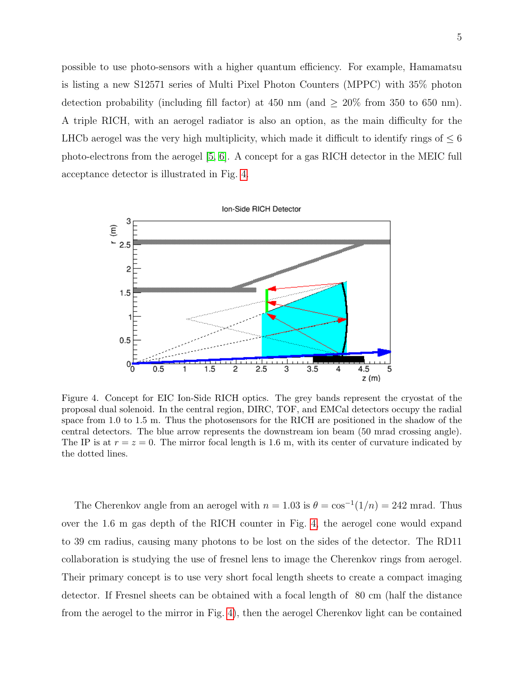possible to use photo-sensors with a higher quantum efficiency. For example, Hamamatsu is listing a new S12571 series of Multi Pixel Photon Counters (MPPC) with 35% photon detection probability (including fill factor) at 450 nm (and  $\geq 20\%$  from 350 to 650 nm). A triple RICH, with an aerogel radiator is also an option, as the main difficulty for the LHCb aerogel was the very high multiplicity, which made it difficult to identify rings of  $\leq 6$ photo-electrons from the aerogel [\[5,](#page-5-3) [6\]](#page-5-5). A concept for a gas RICH detector in the MEIC full acceptance detector is illustrated in Fig. [4.](#page-4-0)



<span id="page-4-0"></span>Figure 4. Concept for EIC Ion-Side RICH optics. The grey bands represent the cryostat of the proposal dual solenoid. In the central region, DIRC, TOF, and EMCal detectors occupy the radial space from 1.0 to 1.5 m. Thus the photosensors for the RICH are positioned in the shadow of the central detectors. The blue arrow represents the downstream ion beam (50 mrad crossing angle). The IP is at  $r = z = 0$ . The mirror focal length is 1.6 m, with its center of curvature indicated by the dotted lines.

The Cherenkov angle from an aerogel with  $n = 1.03$  is  $\theta = \cos^{-1}(1/n) = 242$  mrad. Thus over the 1.6 m gas depth of the RICH counter in Fig. [4,](#page-4-0) the aerogel cone would expand to 39 cm radius, causing many photons to be lost on the sides of the detector. The RD11 collaboration is studying the use of fresnel lens to image the Cherenkov rings from aerogel. Their primary concept is to use very short focal length sheets to create a compact imaging detector. If Fresnel sheets can be obtained with a focal length of 80 cm (half the distance from the aerogel to the mirror in Fig. [4\)](#page-4-0), then the aerogel Cherenkov light can be contained